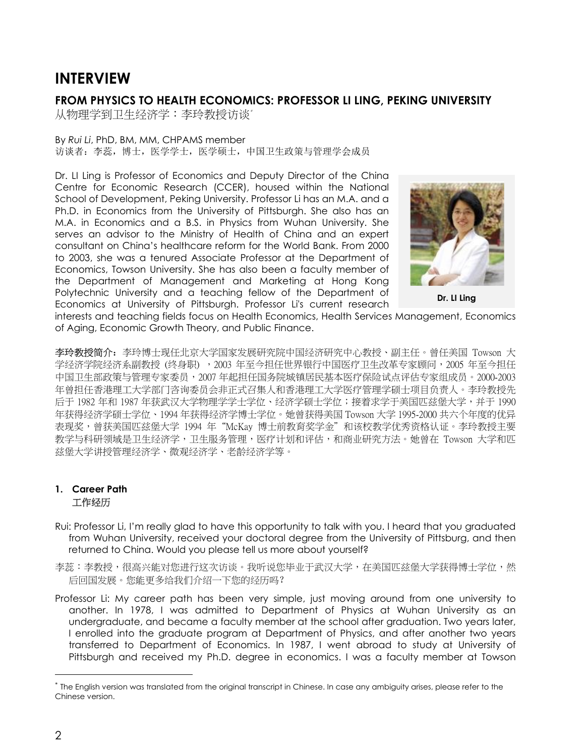# **INTERVIEW**

## **FROM PHYSICS TO HEALTH ECONOMICS: PROFESSOR LI LING, PEKING UNIVERSITY**

从物理学到卫生经济学:李玲教授访谈\*

#### By *Rui Li*, PhD, BM, MM, CHPAMS member 访谈者:李蕊,博士,医学学士,医学硕士,中国卫生政策与管理学会成员

Dr. LI Ling is Professor of Economics and Deputy Director of the China Centre for Economic Research (CCER), housed within the National School of Development, Peking University. Professor Li has an M.A. and a Ph.D. in Economics from the University of Pittsburgh. She also has an M.A. in Economics and a B.S. in Physics from Wuhan University. She serves an advisor to the Ministry of Health of China and an expert consultant on China's healthcare reform for the World Bank. From 2000 to 2003, she was a tenured Associate Professor at the Department of Economics, Towson University. She has also been a faculty member of the Department of Management and Marketing at Hong Kong Polytechnic University and a teaching fellow of the Department of Economics at University of Pittsburgh. Professor Li's current research



**Dr. LI Ling**

interests and teaching fields focus on Health Economics, Health Services Management, Economics of Aging, Economic Growth Theory, and Public Finance.

李玲教授简介:李玲博士现任北京大学国家发展研究院中国经济研究中心教授、副主任。曾任美国 Towson 大 学经济学院经济系副教授 (终身职) ,2003 年至今担任世界银行中国医疗卫生改革专家顾问,2005 年至今担任 中国卫生部政策与管理专家委员,2007 年起担任国务院城镇居民基本医疗保险试点评估专家组成员。2000-2003 年曾担任香港理工大学部门咨询委员会非正式召集人和香港理工大学医疗管理学硕士项目负责人。李玲教授先 后于 1982 年和 1987 年获武汉大学物理学学士学位、经济学硕士学位;接着求学于美国匹兹堡大学,并于 1990 年获得经济学硕士学位、1994 年获得经济学博士学位。她曾获得美国 Towson 大学 1995-2000 共六个年度的优异 表现奖,曾获美国匹兹堡大学 1994 年"McKay 博士前教育奖学金"和该校教学优秀资格认证。李玲教授主要 教学与科研领域是卫生经济学,卫生服务管理,医疗计划和评估,和商业研究方法。她曾在 Towson 大学和匹 兹堡大学讲授管理经济学、微观经济学、老龄经济学等。

## **1. Career Path** 工作经历

- Rui: Professor Li, I'm really glad to have this opportunity to talk with you. I heard that you graduated from Wuhan University, received your doctoral degree from the University of Pittsburg, and then returned to China. Would you please tell us more about yourself?
- 李蕊:李教授,很高兴能对您进行这次访谈。我听说您毕业于武汉大学,在美国匹兹堡大学获得博士学位,然 后回国发展。您能更多给我们介绍一下您的经历吗?
- Professor Li: My career path has been very simple, just moving around from one university to another. In 1978, I was admitted to Department of Physics at Wuhan University as an undergraduate, and became a faculty member at the school after graduation. Two years later, I enrolled into the graduate program at Department of Physics, and after another two years transferred to Department of Economics. In 1987, I went abroad to study at University of Pittsburgh and received my Ph.D. degree in economics. I was a faculty member at Towson

 $\overline{a}$ 

*<sup>\*</sup>* The English version was translated from the original transcript in Chinese. In case any ambiguity arises, please refer to the Chinese version.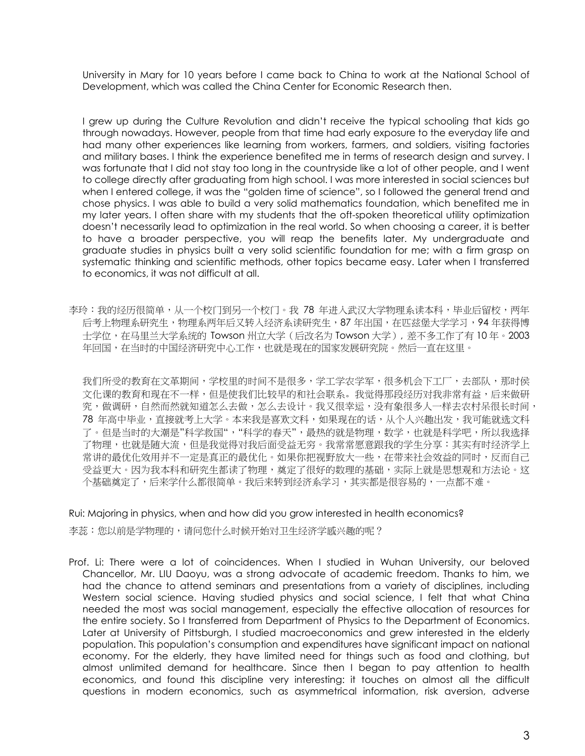University in Mary for 10 years before I came back to China to work at the National School of Development, which was called the China Center for Economic Research then.

I grew up during the Culture Revolution and didn't receive the typical schooling that kids go through nowadays. However, people from that time had early exposure to the everyday life and had many other experiences like learning from workers, farmers, and soldiers, visiting factories and military bases. I think the experience benefited me in terms of research design and survey. I was fortunate that I did not stay too long in the countryside like a lot of other people, and I went to college directly after graduating from high school. I was more interested in social sciences but when I entered college, it was the "golden time of science", so I followed the general trend and chose physics. I was able to build a very solid mathematics foundation, which benefited me in my later years. I often share with my students that the oft-spoken theoretical utility optimization doesn't necessarily lead to optimization in the real world. So when choosing a career, it is better to have a broader perspective, you will reap the benefits later. My undergraduate and graduate studies in physics built a very solid scientific foundation for me; with a firm grasp on systematic thinking and scientific methods, other topics became easy. Later when I transferred to economics, it was not difficult at all.

李玲:我的经历很简单,从一个校门到另一个校门。我 78 年进入武汉大学物理系读本科,毕业后留校,两年 后考上物理系研究生,物理系两年后又转入经济系读研究生,87 年出国,在匹兹堡大学学习,94 年获得博 士学位,在马里兰大学系统的 Towson 州立大学 (后改名为 Towson 大学), 差不多工作了有 10 年。2003 年回国,在当时的中国经济研究中心工作,也就是现在的国家发展研究院。然后一直在这里。

我们所受的教育在文革期间,学校里的时间不是很多,学工学农学军,很多机会下工厂,去部队,那时侯 文化课的教育和现在不一样,但是使我们比较早的和社会联系。我觉得那段经历对我非常有益,后来做研 究,做调研,自然而然就知道怎么去做,怎么去设计。我又很幸运,没有象很多人一样去农村呆很长时间, 78 年高中毕业,直接就考上大学。本来我是喜欢文科,如果现在的话,从个人兴趣出发,我可能就选文科 了。但是当时的大潮是"科学救国","科学的春天",最热的就是物理,数学,也就是科学吧,所以我选择 了物理,也就是随大流,但是我觉得对我后面受益无穷。我常常愿意跟我的学生分享:其实有时经济学上 常讲的最优化效用并不一定是真正的最优化。如果你把视野放大一些,在带来社会效益的同时,反而自己 受益更大。因为我本科和研究生都读了物理,奠定了很好的数理的基础,实际上就是思想观和方法论。这 个基础奠定了,后来学什么都很简单。我后来转到经济系学习,其实都是很容易的,一点都不难。

Rui: Majoring in physics, when and how did you grow interested in health economics?

李蕊:您以前是学物理的,请问您什么时候开始对卫生经济学感兴趣的呢?

Prof. Li: There were a lot of coincidences. When I studied in Wuhan University, our beloved Chancellor, Mr. LIU Daoyu, was a strong advocate of academic freedom. Thanks to him, we had the chance to attend seminars and presentations from a variety of disciplines, including Western social science. Having studied physics and social science, I felt that what China needed the most was social management, especially the effective allocation of resources for the entire society. So I transferred from Department of Physics to the Department of Economics. Later at University of Pittsburgh, I studied macroeconomics and grew interested in the elderly population. This population's consumption and expenditures have significant impact on national economy. For the elderly, they have limited need for things such as food and clothing, but almost unlimited demand for healthcare. Since then I began to pay attention to health economics, and found this discipline very interesting: it touches on almost all the difficult questions in modern economics, such as asymmetrical information, risk aversion, adverse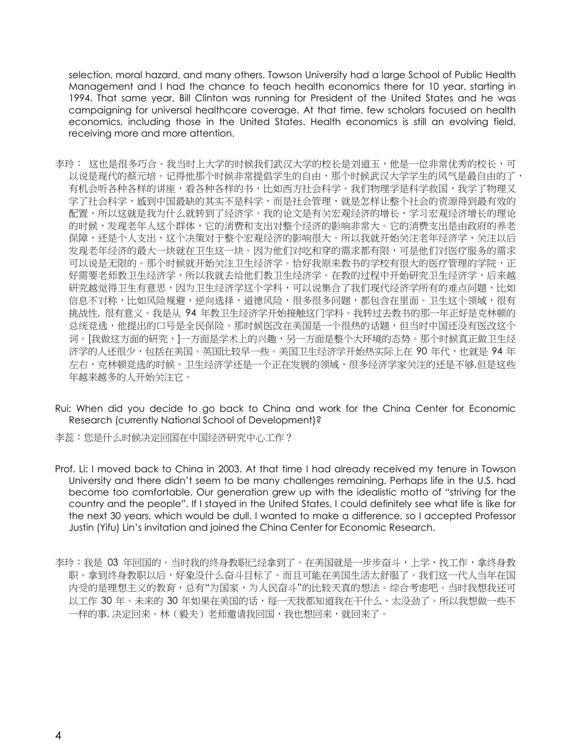selection, moral hazard, and many others. Towson University had a large School of Public Health Management and I had the chance to teach health economics there for 10 year, starting in 1994. That same year, Bill Clinton was running for President of the United States and he was campaigning for universal healthcare coverage. At that time, few scholars focused on health economics, including those in the United States. Health economics is still an evolving field, receiving more and more attention.

- 李玲: 这也是很多巧合。我当时上大学的时候我们武汉大学的校长是刘道玉,他是一位非常优秀的校长,可 以说是现代的蔡元培。记得他那个时候非常提倡学生的自由,那个时候武汉大学学生的风气是最自由的了, 有机会听各种各样的书标,也如西方社会科学。我们物理学是科学救国,我学了物理又 学了社会科学,感到中国最缺的其实不是科学,而是社会管理,就是怎样让整个社会的资源得到最有效的 配置,所以这就是我为什么就转到了经济学。我的论文是有关宏观经济的增长,学习宏观经济增长的理论 的时候,发现老年人这个群体,它的消费和支出对整个经济的影响非常大。它的消费支出是由政府的养老 保障,还是个人支出,这个决策对于整个宏观经济的影响很大。所以我就开始关注老年经济学,关注以后 发现老年经济的最大一块就在卫生这一块。因为他们对吃和穿的需求都有限,可是他们对医疗服务的需求 可以说是无限的。那个时候就开始关注卫生经济学。恰好我原来教书的学校有很大的医疗管理的学院,正 好需要老师教卫生经济学,所以我就去给他们教卫生经济学。在教的过程中开始研究卫生经济学,后来越 研究越觉得卫生有意思,因为卫生经济学这个学科,可以说集合了我们现代经济学所有的难点问题,比如 信息不对称,比如风险规避,逆向选择,道德风险,很多很多问题,都包含在里面。卫生这个领域,很有 挑战性, 很有意义。我是从 94 年教卫生经济学开始接触这门学科。我转过去教书的那一年正好是克林顿的 总统竞选,他提出的口号是全民保险。那时候医改在美国是一个很热的话题,但当时中国还没有医改这个 词。[我做这方面的研究,]一方面是学术上的兴趣,另一方面是整个大环境的态势。那个时候真正做卫生经 济学的人还很少,包括在美国。英国比较早一些。美国卫生经济学开始热实际上在 90 年代,也就是 94 年 左右,克林顿竞选的时候。卫生经济学还是一个正在发展的领域,很多经济学家关注的还是不够,但是这些 年越来越多的人开始关注它。
- Rui: When did you decide to go back to China and work for the China Center for Economic Research (currently National School of Development)?

李蕊:您是什么时候决定回国在中国经济研究中心工作?

- Prof. Li: I moved back to China in 2003. At that time I had already received my tenure in Towson University and there didn't seem to be many challenges remaining. Perhaps life in the U.S. had become too comfortable. Our generation grew up with the idealistic motto of "striving for the country and the people". If I stayed in the United States, I could definitely see what life is like for the next 30 years, which would be dull. I wanted to make a difference, so I accepted Professor Justin (Yifu) Lin's invitation and joined the China Center for Economic Research.
- 李玲:我是 03 年回国的。当时我的终身教职已经拿到了。在美国就是一步步奋斗,上学,找工作,拿终身教 职。拿到终身教职以后,好象没什么奋斗目标了。而且可能在美国生活太舒服了。我们这一代人当年在国 内受的是理想主义的教育,总有"为国家,为人民奋斗"的比较天真的想法。综合考虑吧。当时我想我还可 以工作 30 年。未来的 30 年如果在美国的话,每一天我都知道我在干什么,太没劲了。所以我想做一些不 一样的事, 决定回来。林(毅夫)老师邀请我回国,我也想回来,就回来了。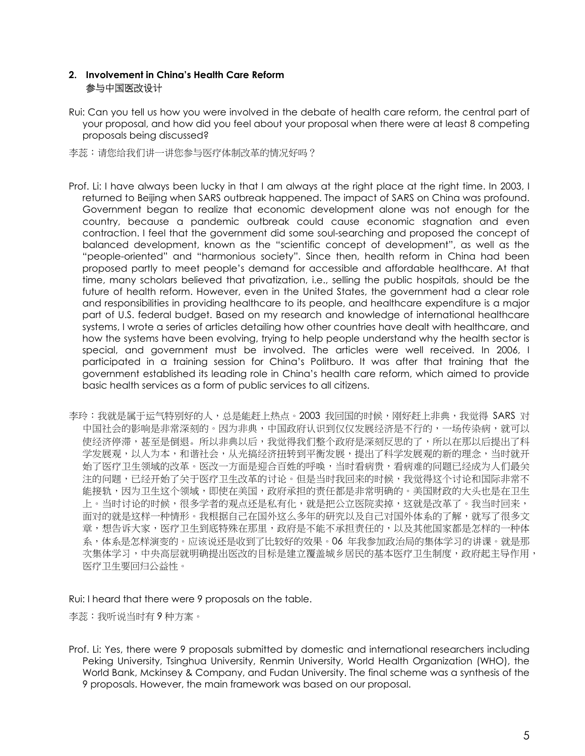## **2. Involvement in China's Health Care Reform** 参与中国医改设计

Rui: Can you tell us how you were involved in the debate of health care reform, the central part of your proposal, and how did you feel about your proposal when there were at least 8 competing proposals being discussed?

李蕊:请您给我们讲一讲您参与医疗体制改革的情况好吗?

- Prof. Li: I have always been lucky in that I am always at the right place at the right time. In 2003, I returned to Beijing when SARS outbreak happened. The impact of SARS on China was profound. Government began to realize that economic development alone was not enough for the country, because a pandemic outbreak could cause economic stagnation and even contraction. I feel that the government did some soul-searching and proposed the concept of balanced development, known as the "scientific concept of development", as well as the "people-oriented" and "harmonious society". Since then, health reform in China had been proposed partly to meet people's demand for accessible and affordable healthcare. At that time, many scholars believed that privatization, i.e., selling the public hospitals, should be the future of health reform. However, even in the United States, the government had a clear role and responsibilities in providing healthcare to its people, and healthcare expenditure is a major part of U.S. federal budget. Based on my research and knowledge of international healthcare systems, I wrote a series of articles detailing how other countries have dealt with healthcare, and how the systems have been evolving, trying to help people understand why the health sector is special, and government must be involved. The articles were well received. In 2006, I participated in a training session for China's Politburo. It was after that training that the government established its leading role in China's health care reform, which aimed to provide basic health services as a form of public services to all citizens.
- 李玲:我就是属于运气特别好的人,总是能赶上热点。2003 我回国的时候,刚好赶上非典,我觉得 SARS 对 中国社会的影响是非常深刻的。因为非典,中国政府认识到仅仅发展经济是不行的,一场传染病,就可以 使经济停滞,甚至是倒退。所以非典以后,我觉得我们整个政府是深刻反思的了,所以在那以后提出了科 学发展观,以人为本,和谐社会,从光搞经济扭转到平衡发展,提出了科学发展观的新的理念,当时就开 始了医疗卫生领域的改革。医改一方面是迎合百姓的呼唤,当时看病贵,看病难的问题已经成为人们最关 注的问题,已经开始了关于医疗卫生改革的讨论。但是当时我回来的时候,我觉得这个讨论和国际非常不 能接轨,因为卫生这个领域,即使在美国,政府承担的责任都是非常明确的。美国财政的大头也是在卫生 上。当时讨论的时候,很多学者的观点还是私有化,就是把公立医院卖掉,这就是改革了。我当时回来, 面对的就是这样一种情形。我根据自己在国外这么多年的研究以及自己对国外体系的了解,就写了很多文 章,想告诉大家,医疗卫生到底特殊在那里,政府是不能不承担责任的,以及其他国家都是怎样的一种体 系,体系是怎样演变的。应该说还是收到了比较好的效果。06 年我参加政治局的集体学习的讲课。就是那 次集体学习,中央高层就明确提出医改的目标是建立覆盖城乡居民的基本医疗卫生制度,政府起主导作用, 医疗卫生要回归公益性。

Rui: I heard that there were 9 proposals on the table.

李蕊:我听说当时有 9 种方案。

Prof. Li: Yes, there were 9 proposals submitted by domestic and international researchers including Peking University, Tsinghua University, Renmin University, World Health Organization (WHO), the World Bank, Mckinsey & Company, and Fudan University. The final scheme was a synthesis of the 9 proposals. However, the main framework was based on our proposal.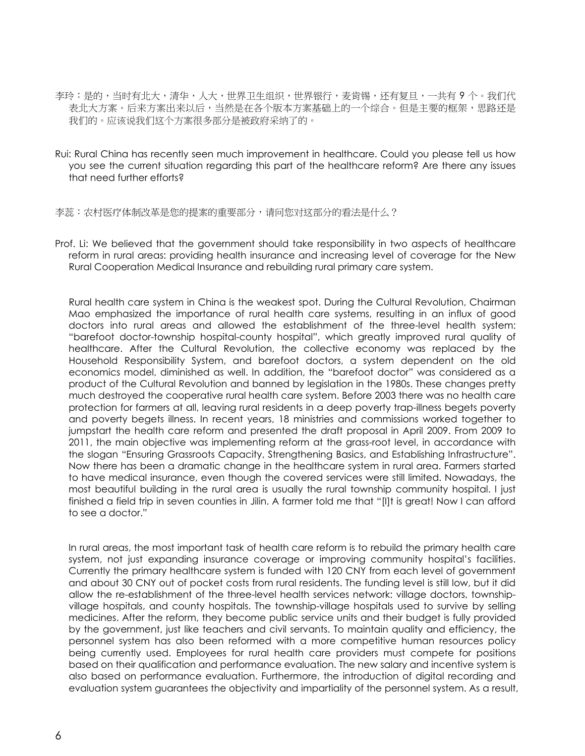- 李玲:是的,当时有北大,清华,人大,世界卫生组织,世界银行,麦肯锡,还有复旦,一共有 9 个。我们代 表北大方案。后来方案出来以后,当然是在各个版本方案基础上的一个综合。但是主要的框架,思路还是 我们的。应该说我们这个方案很多部分是被政府采纳了的。
- Rui: Rural China has recently seen much improvement in healthcare. Could you please tell us how you see the current situation regarding this part of the healthcare reform? Are there any issues that need further efforts?

李蕊:农村医疗体制改革是您的提案的重要部分,请问您对这部分的看法是什么?

Prof. Li: We believed that the government should take responsibility in two aspects of healthcare reform in rural areas: providing health insurance and increasing level of coverage for the New Rural Cooperation Medical Insurance and rebuilding rural primary care system.

Rural health care system in China is the weakest spot. During the Cultural Revolution, Chairman Mao emphasized the importance of rural health care systems, resulting in an influx of good doctors into rural areas and allowed the establishment of the three-level health system: "barefoot doctor-township hospital-county hospital", which greatly improved rural quality of healthcare. After the Cultural Revolution, the collective economy was replaced by the Household Responsibility System, and barefoot doctors, a system dependent on the old economics model, diminished as well. In addition, the "barefoot doctor" was considered as a product of the Cultural Revolution and banned by legislation in the 1980s. These changes pretty much destroyed the cooperative rural health care system. Before 2003 there was no health care protection for farmers at all, leaving rural residents in a deep poverty trap-illness begets poverty and poverty begets illness. In recent years, 18 ministries and commissions worked together to jumpstart the health care reform and presented the draft proposal in April 2009. From 2009 to 2011, the main objective was implementing reform at the grass-root level, in accordance with the slogan "Ensuring Grassroots Capacity, Strengthening Basics, and Establishing Infrastructure". Now there has been a dramatic change in the healthcare system in rural area. Farmers started to have medical insurance, even though the covered services were still limited. Nowadays, the most beautiful building in the rural area is usually the rural township community hospital. I just finished a field trip in seven counties in Jilin. A farmer told me that "[I]t is great! Now I can afford to see a doctor."

In rural areas, the most important task of health care reform is to rebuild the primary health care system, not just expanding insurance coverage or improving community hospital's facilities. Currently the primary healthcare system is funded with 120 CNY from each level of government and about 30 CNY out of pocket costs from rural residents. The funding level is still low, but it did allow the re-establishment of the three-level health services network: village doctors, townshipvillage hospitals, and county hospitals. The township-village hospitals used to survive by selling medicines. After the reform, they become public service units and their budget is fully provided by the government, just like teachers and civil servants. To maintain quality and efficiency, the personnel system has also been reformed with a more competitive human resources policy being currently used. Employees for rural health care providers must compete for positions based on their qualification and performance evaluation. The new salary and incentive system is also based on performance evaluation. Furthermore, the introduction of digital recording and evaluation system guarantees the objectivity and impartiality of the personnel system. As a result,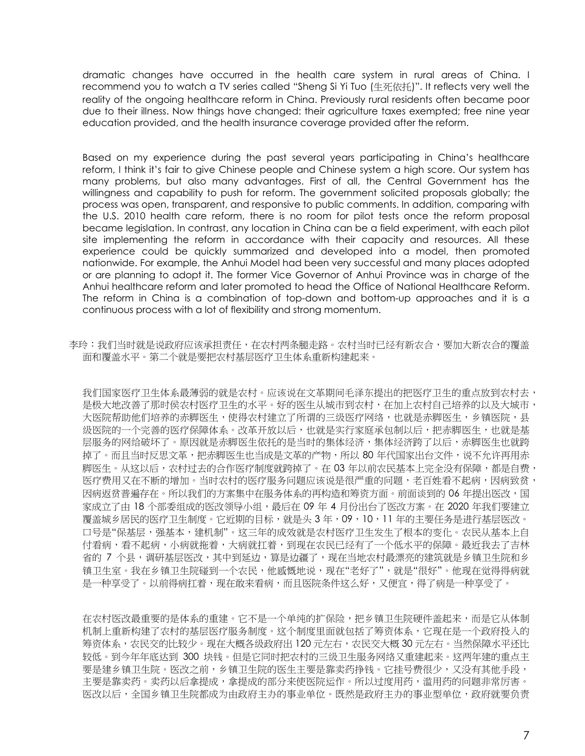dramatic changes have occurred in the health care system in rural areas of China. I recommend you to watch a TV series called "Sheng Si Yi Tuo (生死依托)". It reflects very well the reality of the ongoing healthcare reform in China. Previously rural residents often became poor due to their illness. Now things have changed: their agriculture taxes exempted; free nine year education provided, and the health insurance coverage provided after the reform.

Based on my experience during the past several years participating in China's healthcare reform, I think it's fair to give Chinese people and Chinese system a high score. Our system has many problems, but also many advantages. First of all, the Central Government has the willingness and capability to push for reform. The government solicited proposals globally; the process was open, transparent, and responsive to public comments. In addition, comparing with the U.S. 2010 health care reform, there is no room for pilot tests once the reform proposal became legislation. In contrast, any location in China can be a field experiment, with each pilot site implementing the reform in accordance with their capacity and resources. All these experience could be quickly summarized and developed into a model, then promoted nationwide. For example, the Anhui Model had been very successful and many places adopted or are planning to adopt it. The former Vice Governor of Anhui Province was in charge of the Anhui healthcare reform and later promoted to head the Office of National Healthcare Reform. The reform in China is a combination of top-down and bottom-up approaches and it is a continuous process with a lot of flexibility and strong momentum.

李玲:我们当时就是说政府应该承担责任,在农村两条腿走路。农村当时已经有新农合,要加大新农合的覆盖 面和覆盖水平。第二个就是要把农村基层医疗卫生体系重新构建起来。

我们国家医疗卫生体系最薄弱的就是农村。应该说在文革期间毛泽东提出的把医疗卫生的重点放到农村去, 是极大地改善了那时侯农村医疗卫生的水平。好的医生从城市到农村,在加上农村自己培养的以及大城市, 大医院帮助他们培养的赤脚医生,使得农村建立了所谓的三级医疗网络,也就是赤脚医生,乡镇医院,县 级医院的一个完善的医疗保障体系。改革开放以后,也就是实行家庭承包制以后,把赤脚医生,也就是基 层服务的网给破坏了。原因就是赤脚医生依托的是当时的集体经济,集体经济跨了以后,赤脚医生也就跨 掉了。而且当时反思文革,把赤脚医生也当成是文革的产物,所以 80 年代国家出台文件,说不允许再用赤 脚医生。从这以后,农村过去的合作医疗制度就跨掉了。在 03 年以前农民基本上完全没有保障,都是自费, 医疗费用又在不断的增加。当时农村的医疗服务问题应该说是很严重的问题,老百姓看不起病,因病致贫, 因病返贫普遍存在。所以我们的方案集中在服务体系的再构造和筹资方面。前面谈到的 06 年提出医改,国 家成立了由 18 个部委组成的医改领导小组,最后在 09 年 4 月份出台了医改方案。在 2020 年我们要建立 覆盖城乡居民的医疗卫生制度。它近期的目标,就是头 3 年,09,10,11 年的主要任务是进行基层医改。 口号是"保基层,强基本,建机制"。这三年的成效就是农村医疗卫生发生了根本的变化。农民从基本上自 付看病,看不起病,小病就拖着,大病就扛着,到现在农民已经有了一个低水平的保障。最近我去了吉林 省的 7 个县,调研基层医改,其中到延边,算是边疆了,现在当地农村最漂亮的建筑就是乡镇卫生院和乡 镇卫生室。我在乡镇卫生院碰到一个农民,他感慨地说,现在"老好了",就是"很好"。他现在觉得得病就 是一种享受了。以前得病扛着,现在敢来看病,而且医院条件这么好,又便宜,得了病是一种享受了。

在农村医改最重要的是体系的重建。它不是一个单纯的扩保险,把乡镇卫生院硬件盖起来,而是它从体制 机制上重新构建了农村的基层医疗服务制度。这个制度里面就包括了筹资体系,它现在是一个政府投入的 筹资体系,农民交的比较少。现在大概各级政府出 120 元左右,农民交大概 30 元左右。当然保障水平还比 较低。到今年年底达到 300 块钱。但是它同时把农村的三级卫生服务网络又重建起来。这两年建的重点主 要是建乡镇卫生院。医改之前,乡镇卫生院的医生主要是靠卖药挣钱。它挂号费很少,又没有其他手段, 主要是靠卖药。卖药以后拿提成,拿提成的部分来使医院运作。所以过度用药,滥用药的问题非常厉害。 医改以后,全国乡镇卫生院都成为由政府主办的事业单位。既然是政府主办的事业型单位,政府就要负责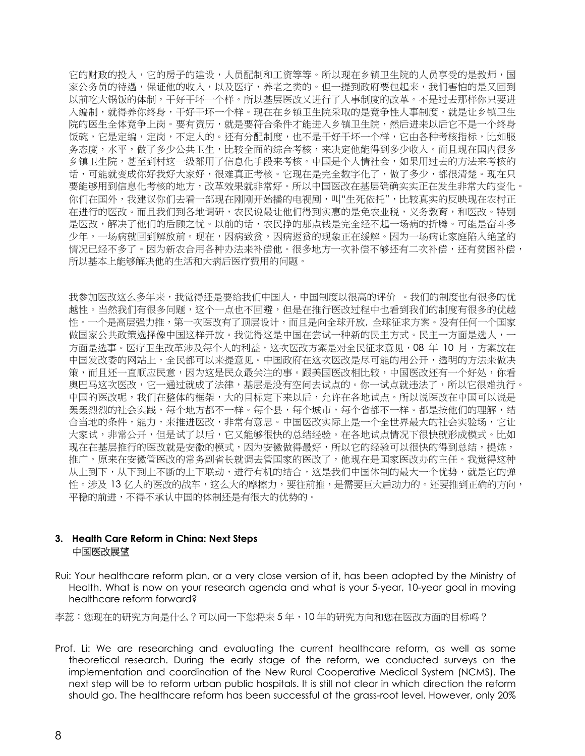它的财政的投入,它的房子的建设,人员配制和工资等等。所以现在乡镇卫生院的人员享受的是教师,国 家公务员的待遇,保证他的收入,以及医疗,养老之类的。但一提到政府要包起来,我们害怕的是又回到 以前吃大锅饭的体制,干好干坏一个样。所以基层医改又进行了人事制度的改革。不是过去那样你只要进 入编制,就得养你终身,干好干坏一个样。现在在乡镇卫生院采取的是竞争性人事制度,就是让乡镇卫生 院的医生全体竞争上岗。要有资历,就是要符合条件才能进入乡镇卫生院,然后进来以后它不是一个终身 饭碗,它是定编,定岗,不定人的。还有分配制度,也不是干好干坏一个样,它由各种考核指标,比如服 务态度,水平,做了多少公共卫生,比较全面的综合考核,来决定他能得到多少收入。而且现在国内很多 乡镇卫生院,甚至到村这一级都用了信息化手段来考核。中国是个人情社会,如果用过去的方法来考核的 话,可能就变成你好我好大家好,很难真正考核。它现在是完全数字化了,做了多少,都很清楚。现在只 要能够用到信息化考核的地方,改革效果就非常好。所以中国医改在基层确确实实正在发生非常大的变化。 你们在国外,我建议你们去看一部现在刚刚开始播的电视剧,叫"生死依托",比较真实的反映现在农村正 在进行的医改。而且我们到各地调研,农民说最让他们得到实惠的是免农业税,义务教育,和医改。特别 是医改,解决了他们的后顾之忧。以前的话,农民挣的那点钱是完全经不起一场病的折腾。可能是奋斗多 少年,一场病就回到解放前。现在,因病致贫,因病返贫的现象正在缓解。因为一场病让家庭陷入绝望的 情况已经不多了。因为新农合用各种办法来补偿他。很多地方一次补偿不够还有二次补偿,还有贫困补偿, 所以基本上能够解决他的生活和大病后医疗费用的问题。

我参加医改这么多年来,我觉得还是要给我们中国人,中国制度以很高的评价 。我们的制度也有很多的优 越性。当然我们有很多问题,这个一点也不回避,但是在推行医改过程中也看到我们的制度有很多的优越 性。一个是高层强力推,第一次医改有了顶层设计,而且是向全球开放, 全球征求方案。没有任何一个国家 做国家公共政策选择像中国这样开放。我觉得这是中国在尝试一种新的民主方式。民主一方面是选人<u>,</u>一 方面是选事。医疗卫生改革涉及每个人的利益,这次医改方案是对全民征求意见,08 年 10 月,方案放在 中国发改委的网站上,全民都可以来提意见。中国政府在这次医改是尽可能的用公开,透明的方法来做决 策,而且还一直顺应民意,因为这是民众最关注的事。跟美国医改相比较,中国医改还有一个好处,你看 奥巴马这次医改,它一通过就成了法律,基层是没有空间去试点的。你一试点就违法了,所以它很难执行。 中国的医改呢,我们在整体的框架,大的目标定下来以后,允许在各地试点。所以说医改在中国可以说是 轰轰烈烈的社会实践,每个地方都不一样。每个县,每个城市,每个省都不一样。都是按他们的理解,结 合当地的条件,能力,来推进医改,非常有意思。中国医改实际上是一个全世界最大的社会实验场,它让 大家试,非常公开,但是试了以后,它又能够很快的总结经验。在各地试点情况下很快就形成模式。比如 现在在基层推行的医改就是安徽的模式,因为安徽做得最好,所以它的经验可以很快的得到总结,提炼, 推广。原来在安徽管医改的常务副省长就调去管国家的医改了,他现在是国家医改办的主任。我觉得这种 从上到下,从下到上不断的上下联动,进行有机的结合,这是我们中国体制的最大一个优势,就是它的弹 性。涉及 13 亿人的医改的战车,这么大的摩擦力,要往前推,是需要巨大启动力的。还要推到正确的方向, 平稳的前进,不得不承认中国的体制还是有很大的优势的。

#### **3. Health Care Reform in China: Next Steps** 中国医改展望

Rui: Your healthcare reform plan, or a very close version of it, has been adopted by the Ministry of Health. What is now on your research agenda and what is your 5-year, 10-year goal in moving healthcare reform forward?

李蕊:您现在的研究方向是什么?可以问一下您将来 5 年,10 年的研究方向和您在医改方面的目标吗?

Prof. Li: We are researching and evaluating the current healthcare reform, as well as some theoretical research. During the early stage of the reform, we conducted surveys on the implementation and coordination of the New Rural Cooperative Medical System (NCMS). The next step will be to reform urban public hospitals. It is still not clear in which direction the reform should go. The healthcare reform has been successful at the grass-root level. However, only 20%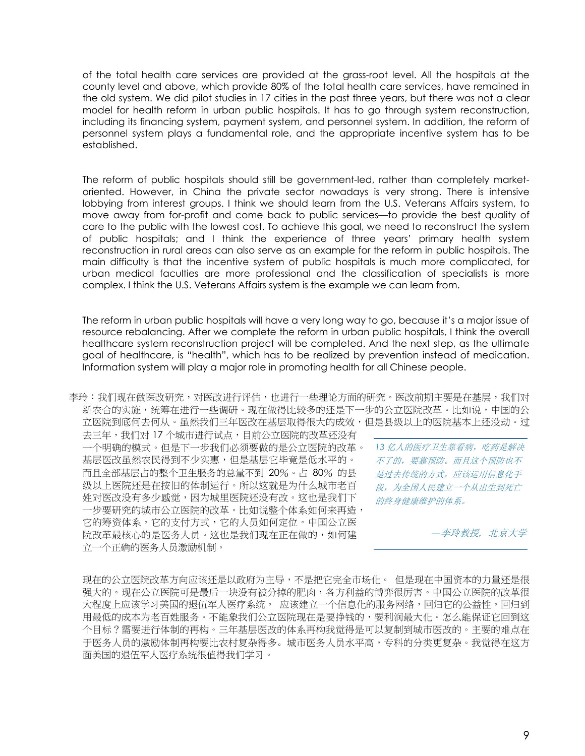of the total health care services are provided at the grass-root level. All the hospitals at the county level and above, which provide 80% of the total health care services, have remained in the old system. We did pilot studies in 17 cities in the past three years, but there was not a clear model for health reform in urban public hospitals. It has to go through system reconstruction, including its financing system, payment system, and personnel system. In addition, the reform of personnel system plays a fundamental role, and the appropriate incentive system has to be established.

The reform of public hospitals should still be government-led, rather than completely marketoriented. However, in China the private sector nowadays is very strong. There is intensive lobbying from interest groups. I think we should learn from the U.S. Veterans Affairs system, to move away from for-profit and come back to public services—to provide the best quality of care to the public with the lowest cost. To achieve this goal, we need to reconstruct the system of public hospitals; and I think the experience of three years' primary health system reconstruction in rural areas can also serve as an example for the reform in public hospitals. The main difficulty is that the incentive system of public hospitals is much more complicated, for urban medical faculties are more professional and the classification of specialists is more complex. I think the U.S. Veterans Affairs system is the example we can learn from.

The reform in urban public hospitals will have a very long way to go, because it's a major issue of resource rebalancing. After we complete the reform in urban public hospitals, I think the overall healthcare system reconstruction project will be completed. And the next step, as the ultimate goal of healthcare, is "health", which has to be realized by prevention instead of medication. Information system will play a major role in promoting health for all Chinese people.

李玲:我们现在做医改研究,对医改进行评估,也进行一些理论方面的研究。医改前期主要是在基层,我们对 新农合的实施,统筹在进行一些调研。现在做得比较多的还是下一步的公立医院改革。比如说,中国的公 立医院到底何去何从。虽然我们三年医改在基层取得很大的成效,但是县级以上的医院基本上还没动。过

去三年,我们对 17 个城市进行试点,目前公立医院的改革还没有 一个明确的模式。但是下一步我们必须要做的是公立医院的改革。 基层医改虽然农民得到不少实惠,但是基层它毕竟是低水平的。 而且全部基层占的整个卫生服务的总量不到 20%。占 80% 的县 级以上医院还是在按旧的体制运行。所以这就是为什么城市老百 姓对医改没有多少感觉,因为城里医院还没有改。这也是我们下 一步要研究的城市公立医院的改革。比如说整个体系如何来再造, 它的筹资体系,它的支付方式,它的人员如何定位。中国公立医 院改革最核心的是医务人员。这也是我们现在正在做的,如何建 立一个正确的医务人员激励机制。

*13* 亿人的医疗卫生靠看病,吃药是解决 不了的,要靠预防。而且这个预防也不 是过去传统的方式,应该运用信息化手 段,为全国人民建立一个从出生到死亡 的终身健康维护的体系。

*—*李玲教授, 北京大学

现在的公立医院改革方向应该还是以政府为主导,不是把它完全市场化。 但是现在中国资本的力量还是很 强大的。现在公立医院可是最后一块没有被分掉的肥肉,各方利益的博弈很厉害。中国公立医院的改革很 大程度上应该学习美国的退伍军人医疗系统, 应该建立一个信息化的服务网络,回归它的公益性,回归到 用最低的成本为老百姓服务。不能象我们公立医院现在是要挣钱的,要利润最大化。怎么能保证它回到这 个目标?需要进行体制的再构。三年基层医改的体系再构我觉得是可以复制到城市医改的。主要的难点在 于医务人员的激励体制再构要比农村复杂得多。城市医务人员水平高,专科的分类更复杂。我觉得在这方 面美国的退伍军人医疗系统很值得我们学习。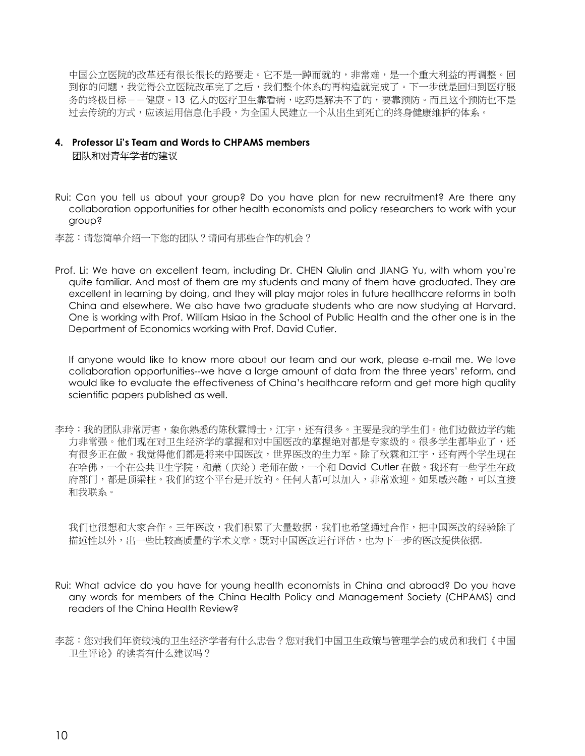中国公立医院的改革还有很长很长的路要走。它不是一踔而就的,非常难,是一个重大利益的再调整。回 到你的问题,我觉得公立医院改革完了之后,我们整个体系的再构造就完成了。下一步就是回归到医疗服 务的终极目标--健康。13 亿人的医疗卫生靠看病,吃药是解决不了的,要靠预防。而且这个预防也不是 过去传统的方式,应该运用信息化手段,为全国人民建立一个从出生到死亡的终身健康维护的体系。

#### **4. Professor Li's Team and Words to CHPAMS members** 团队和对青年学者的建议

Rui: Can you tell us about your group? Do you have plan for new recruitment? Are there any collaboration opportunities for other health economists and policy researchers to work with your group?

李蕊:请您简单介绍一下您的团队?请问有那些合作的机会?

Prof. Li: We have an excellent team, including Dr. CHEN Qiulin and JIANG Yu, with whom you're quite familiar. And most of them are my students and many of them have graduated. They are excellent in learning by doing, and they will play major roles in future healthcare reforms in both China and elsewhere. We also have two graduate students who are now studying at Harvard. One is working with Prof. William Hsiao in the School of Public Health and the other one is in the Department of Economics working with Prof. David Cutler.

If anyone would like to know more about our team and our work, please e-mail me. We love collaboration opportunities--we have a large amount of data from the three years' reform, and would like to evaluate the effectiveness of China's healthcare reform and get more high quality scientific papers published as well.

李玲:我的团队非常厉害,象你熟悉的陈秋霖博士,江宇,还有很多。主要是我的学生们。他们边做边学的能 力非常强。他们现在对卫生经济学的掌握和对中国医改的掌握绝对都是专家级的。很多学生都毕业了,还 有很多正在做。我觉得他们都是将来中国医改,世界医改的生力军。除了秋霖和江宇,还有两个学生现在 在哈佛,一个在公共卫生学院,和萧(庆纶)老师在做,一个和 David Cutler 在做。我还有一些学生在政 府部门,都是顶梁柱。我们的这个平台是开放的。任何人都可以加入,非常欢迎。如果感兴趣,可以直接 和我联系。

我们也很想和大家合作。三年医改,我们积累了大量数据,我们也希望通过合作,把中国医改的经验除了 描述性以外,出一些比较高质量的学术文章。既对中国医改进行评估,也为下一步的医改提供依据.

- Rui: What advice do you have for young health economists in China and abroad? Do you have any words for members of the China Health Policy and Management Society (CHPAMS) and readers of the China Health Review?
- 李蕊:您对我们年资较浅的卫生经济学者有什么忠告?您对我们中国卫生政策与管理学会的成员和我们《中国 卫生评论》的读者有什么建议吗?